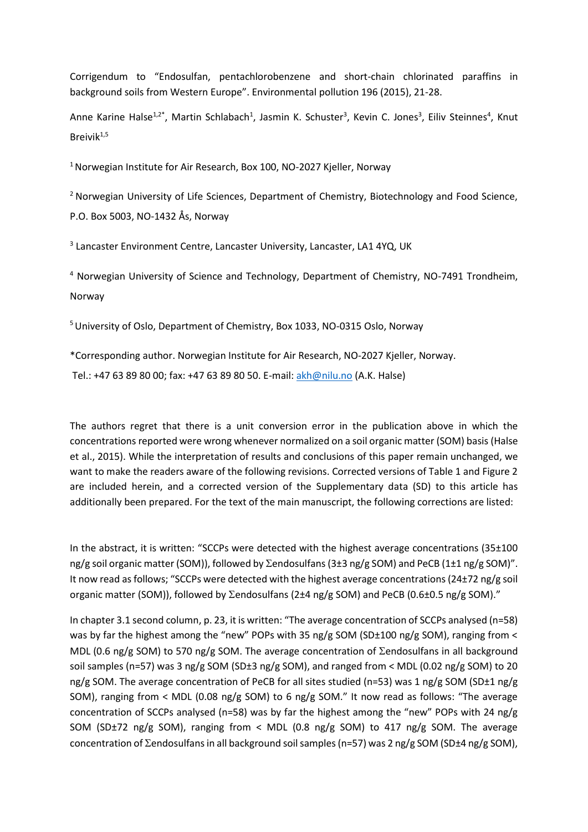Corrigendum to "Endosulfan, pentachlorobenzene and short-chain chlorinated paraffins in background soils from Western Europe". Environmental pollution 196 (2015), 21-28.

Anne Karine Halse<sup>1,2\*</sup>, Martin Schlabach<sup>1</sup>, Jasmin K. Schuster<sup>3</sup>, Kevin C. Jones<sup>3</sup>, Eiliv Steinnes<sup>4</sup>, Knut Breivik $1,5$ 

<sup>1</sup> Norwegian Institute for Air Research, Box 100, NO-2027 Kjeller, Norway

<sup>2</sup> Norwegian University of Life Sciences, Department of Chemistry, Biotechnology and Food Science, P.O. Box 5003, NO-1432 Ås, Norway

<sup>3</sup> Lancaster Environment Centre, Lancaster University, Lancaster, LA1 4YQ, UK

<sup>4</sup> Norwegian University of Science and Technology, Department of Chemistry, NO-7491 Trondheim, Norway

<sup>5</sup> University of Oslo, Department of Chemistry, Box 1033, NO-0315 Oslo, Norway

\*Corresponding author. Norwegian Institute for Air Research, NO-2027 Kjeller, Norway.

Tel.: +47 63 89 80 00; fax: +47 63 89 80 50. E-mail: [akh@nilu.no](mailto:akh@nilu.no) (A.K. Halse)

The authors regret that there is a unit conversion error in the publication above in which the concentrations reported were wrong whenever normalized on a soil organic matter (SOM) basis [\(Halse](#page-5-0)  [et al., 2015\)](#page-5-0). While the interpretation of results and conclusions of this paper remain unchanged, we want to make the readers aware of the following revisions. Corrected versions of Table 1 and Figure 2 are included herein, and a corrected version of the Supplementary data (SD) to this article has additionally been prepared. For the text of the main manuscript, the following corrections are listed:

In the abstract, it is written: "SCCPs were detected with the highest average concentrations (35±100 ng/g soil organic matter (SOM)), followed by  $\Sigma$ endosulfans (3±3 ng/g SOM) and PeCB (1±1 ng/g SOM)". It now read as follows; "SCCPs were detected with the highest average concentrations (24±72 ng/g soil organic matter (SOM)), followed by  $\Sigma$ endosulfans (2±4 ng/g SOM) and PeCB (0.6±0.5 ng/g SOM)."

In chapter 3.1 second column, p. 23, it is written: "The average concentration of SCCPs analysed (n=58) was by far the highest among the "new" POPs with 35 ng/g SOM (SD±100 ng/g SOM), ranging from < MDL (0.6 ng/g SOM) to 570 ng/g SOM. The average concentration of  $\Sigma$ endosulfans in all background soil samples (n=57) was 3 ng/g SOM (SD±3 ng/g SOM), and ranged from < MDL (0.02 ng/g SOM) to 20 ng/g SOM. The average concentration of PeCB for all sites studied (n=53) was 1 ng/g SOM (SD±1 ng/g SOM), ranging from < MDL (0.08 ng/g SOM) to 6 ng/g SOM." It now read as follows: "The average concentration of SCCPs analysed (n=58) was by far the highest among the "new" POPs with 24 ng/g SOM (SD±72 ng/g SOM), ranging from < MDL (0.8 ng/g SOM) to 417 ng/g SOM. The average concentration of  $\Sigma$ endosulfans in all background soil samples (n=57) was 2 ng/g SOM (SD±4 ng/g SOM),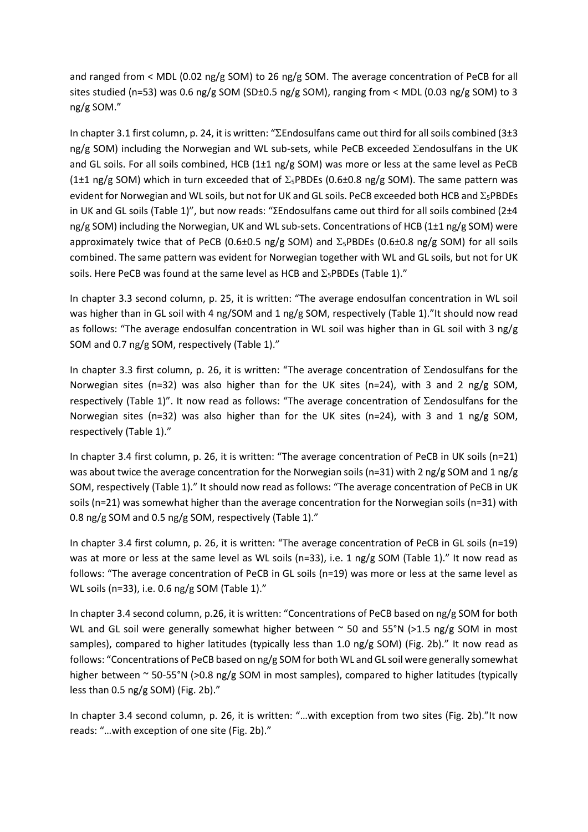and ranged from < MDL (0.02 ng/g SOM) to 26 ng/g SOM. The average concentration of PeCB for all sites studied (n=53) was 0.6 ng/g SOM (SD±0.5 ng/g SOM), ranging from < MDL (0.03 ng/g SOM) to 3 ng/g SOM."

In chapter 3.1 first column, p. 24, it is written: "Endosulfans came out third for all soils combined (3±3 ng/g SOM) including the Norwegian and WL sub-sets, while PeCB exceeded  $\Sigma$ endosulfans in the UK and GL soils. For all soils combined, HCB (1±1 ng/g SOM) was more or less at the same level as PeCB (1±1 ng/g SOM) which in turn exceeded that of  $\Sigma_5$ PBDEs (0.6±0.8 ng/g SOM). The same pattern was evident for Norwegian and WL soils, but not for UK and GL soils. PeCB exceeded both HCB and  $\Sigma_5$ PBDEs in UK and GL soils (Table 1)", but now reads: "ΣEndosulfans came out third for all soils combined (2±4 ng/g SOM) including the Norwegian, UK and WL sub-sets. Concentrations of HCB (1±1 ng/g SOM) were approximately twice that of PeCB (0.6±0.5 ng/g SOM) and  $\Sigma_5$ PBDEs (0.6±0.8 ng/g SOM) for all soils combined. The same pattern was evident for Norwegian together with WL and GL soils, but not for UK soils. Here PeCB was found at the same level as HCB and  $\Sigma_5$ PBDEs (Table 1)."

In chapter 3.3 second column, p. 25, it is written: "The average endosulfan concentration in WL soil was higher than in GL soil with 4 ng/SOM and 1 ng/g SOM, respectively (Table 1)."It should now read as follows: "The average endosulfan concentration in WL soil was higher than in GL soil with 3 ng/g SOM and 0.7 ng/g SOM, respectively (Table 1)."

In chapter 3.3 first column, p. 26, it is written: "The average concentration of  $\Sigma$ endosulfans for the Norwegian sites (n=32) was also higher than for the UK sites (n=24), with 3 and 2 ng/g SOM, respectively (Table 1)". It now read as follows: "The average concentration of  $\Sigma$ endosulfans for the Norwegian sites (n=32) was also higher than for the UK sites (n=24), with 3 and 1 ng/g SOM, respectively (Table 1)."

In chapter 3.4 first column, p. 26, it is written: "The average concentration of PeCB in UK soils (n=21) was about twice the average concentration for the Norwegian soils (n=31) with 2 ng/g SOM and 1 ng/g SOM, respectively (Table 1)." It should now read as follows: "The average concentration of PeCB in UK soils (n=21) was somewhat higher than the average concentration for the Norwegian soils (n=31) with 0.8 ng/g SOM and 0.5 ng/g SOM, respectively (Table 1)."

In chapter 3.4 first column, p. 26, it is written: "The average concentration of PeCB in GL soils (n=19) was at more or less at the same level as WL soils (n=33), i.e. 1 ng/g SOM (Table 1)." It now read as follows: "The average concentration of PeCB in GL soils (n=19) was more or less at the same level as WL soils (n=33), i.e. 0.6 ng/g SOM (Table 1)."

In chapter 3.4 second column, p.26, it is written: "Concentrations of PeCB based on ng/g SOM for both WL and GL soil were generally somewhat higher between  $\sim$  50 and 55°N (>1.5 ng/g SOM in most samples), compared to higher latitudes (typically less than 1.0 ng/g SOM) (Fig. 2b)." It now read as follows: "Concentrations of PeCB based on ng/g SOM for both WL and GL soil were generally somewhat higher between ~ 50-55°N (>0.8 ng/g SOM in most samples), compared to higher latitudes (typically less than 0.5 ng/g SOM) (Fig. 2b)."

In chapter 3.4 second column, p. 26, it is written: "…with exception from two sites (Fig. 2b)."It now reads: "…with exception of one site (Fig. 2b)."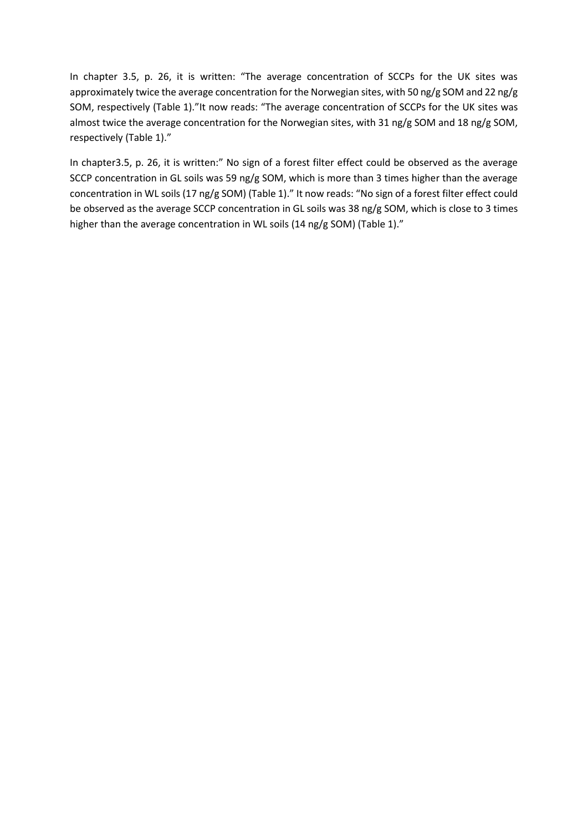In chapter 3.5, p. 26, it is written: "The average concentration of SCCPs for the UK sites was approximately twice the average concentration for the Norwegian sites, with 50 ng/g SOM and 22 ng/g SOM, respectively (Table 1)."It now reads: "The average concentration of SCCPs for the UK sites was almost twice the average concentration for the Norwegian sites, with 31 ng/g SOM and 18 ng/g SOM, respectively (Table 1)."

In chapter3.5, p. 26, it is written:" No sign of a forest filter effect could be observed as the average SCCP concentration in GL soils was 59 ng/g SOM, which is more than 3 times higher than the average concentration in WL soils (17 ng/g SOM) (Table 1)." It now reads: "No sign of a forest filter effect could be observed as the average SCCP concentration in GL soils was 38 ng/g SOM, which is close to 3 times higher than the average concentration in WL soils (14 ng/g SOM) (Table 1)."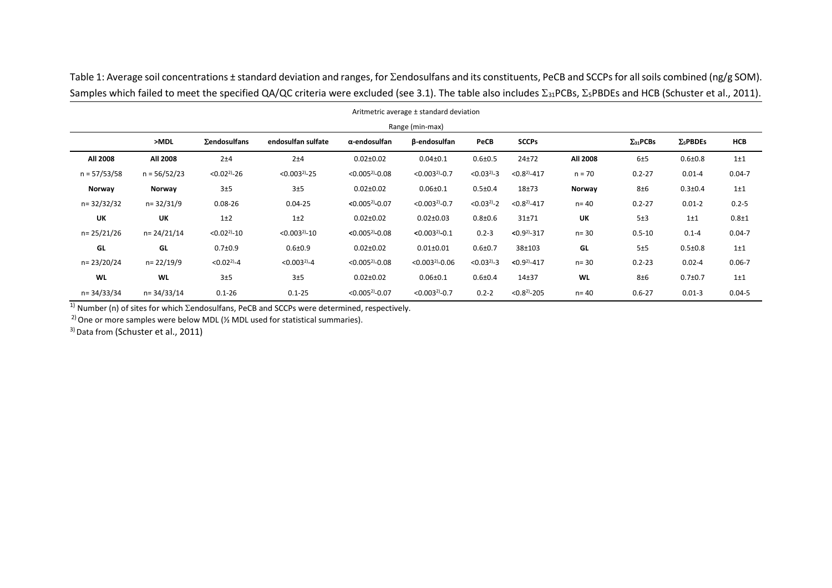| Aritmetric average ± standard deviation<br>Range (min-max) |                |                  |                   |                     |                    |                   |                |           |            |               |            |
|------------------------------------------------------------|----------------|------------------|-------------------|---------------------|--------------------|-------------------|----------------|-----------|------------|---------------|------------|
|                                                            |                |                  |                   |                     |                    |                   |                |           |            |               |            |
| All 2008                                                   | All 2008       | 2±4              | 2±4               | $0.02 \pm 0.02$     | $0.04 \pm 0.1$     | $0.6 \pm 0.5$     | $24 + 72$      | All 2008  | 6±5        | $0.6 + 0.8$   | $1\pm1$    |
| $n = 57/53/58$                                             | $n = 56/52/23$ | $< 0.02^{2}$ -26 | $< 0.003^{2}$ -25 | $< 0.005^{2}$ -0.08 | $< 0.003^{2}$ -0.7 | $< 0.03^{21} - 3$ | $< 0.82$ -417  | $n = 70$  | $0.2 - 27$ | $0.01 - 4$    | $0.04 - 7$ |
| Norway                                                     | Norway         | 3±5              | 3±5               | $0.02 \pm 0.02$     | $0.06 \pm 0.1$     | $0.5 \pm 0.4$     | $18 + 73$      | Norway    | 8±6        | $0.3 \pm 0.4$ | $1\pm1$    |
| n=32/32/32                                                 | $n = 32/31/9$  | $0.08 - 26$      | $0.04 - 25$       | $< 0.005^{2}$ -0.07 | $< 0.003^{2}$ -0.7 | $< 0.03^{2}$ -2   | $< 0.82$ -417  | $n = 40$  | $0.2 - 27$ | $0.01 - 2$    | $0.2 - 5$  |
| UK                                                         | UK             | $1\pm2$          | $1+2$             | $0.02 \pm 0.02$     | $0.02 \pm 0.03$    | $0.8 + 0.6$       | $31 + 71$      | UK        | 5±3        | $1\pm1$       | $0.8 + 1$  |
| n= 25/21/26                                                | n= 24/21/14    | $< 0.02^{2}$ -10 | $< 0.003^{2}$ -10 | $< 0.005^{2}$ -0.08 | $< 0.003^{2}$ -0.1 | $0.2 - 3$         | $< 0.92$ -317  | $n = 30$  | $0.5 - 10$ | $0.1 - 4$     | $0.04 - 7$ |
| GL                                                         | GL             | $0.7 + 0.9$      | $0.6 + 0.9$       | $0.02 \pm 0.02$     | $0.01 \pm 0.01$    | $0.6 + 0.7$       | 38±103         | GL        | 5±5        | $0.5 \pm 0.8$ | $1\pm1$    |
| n= 23/20/24                                                | n= 22/19/9     | $< 0.02^{2}-4$   | $< 0.003^{2} - 4$ | $< 0.005^{2}$ -0.08 | $< 0.0032 - 0.06$  | $< 0.03^{21} - 3$ | $< 0.92$ -417  | $n = 30$  | $0.2 - 23$ | $0.02 - 4$    | $0.06 - 7$ |
| <b>WL</b>                                                  | <b>WL</b>      | 3±5              | 3±5               | $0.02 \pm 0.02$     | $0.06 \pm 0.1$     | $0.6 + 0.4$       | $14 + 37$      | <b>WL</b> | 8±6        | $0.7 + 0.7$   | $1\pm1$    |
| n=34/33/34                                                 | n= 34/33/14    | $0.1 - 26$       | $0.1 - 25$        | $< 0.005^{2}$ -0.07 | $< 0.003^{2}$ -0.7 | $0.2 - 2$         | $< 0.82 - 205$ | $n = 40$  | $0.6 - 27$ | $0.01 - 3$    | $0.04 - 5$ |

Table 1: Average soil concentrations ± standard deviation and ranges, for  $\Sigma$ endosulfans and its constituents, PeCB and SCCPs for all soils combined (ng/g SOM). Samples which failed to meet the specified  $\Omega \sqrt{\Omega}$  criteria were excluded (see 3.1). The table also includes  $\Sigma_{\rm F}$ , PCBs,  $\Sigma$ -PBDEs and HCB [\(Schuster et al., 2011\)](#page-5-1).

 $\frac{1}{1}$  Number (n) of sites for which  $\Sigma$ endosulfans, PeCB and SCCPs were determined, respectively.

<sup>2)</sup> One or more samples were below MDL ( $\frac{1}{2}$  MDL used for statistical summaries).

<sup>3)</sup> Data from [\(Schuster et al., 2011\)](#page-5-1)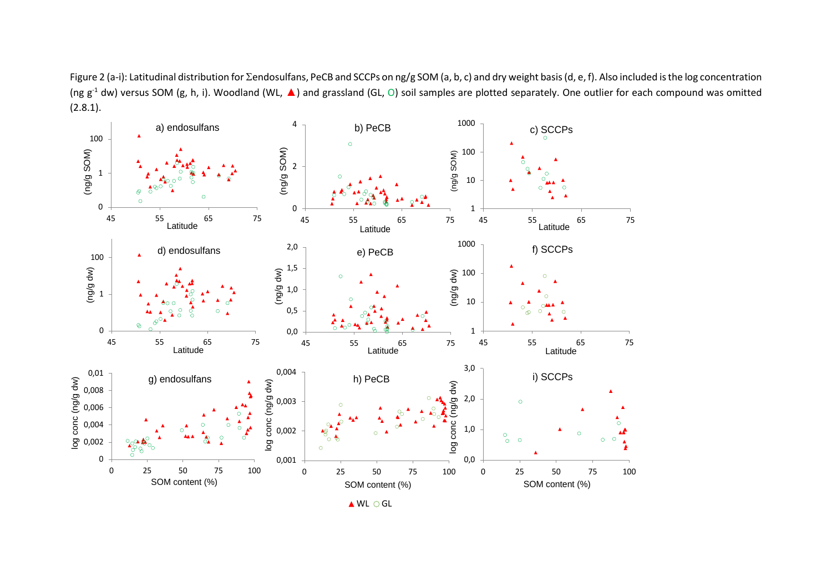Figure 2 (a-i): Latitudinal distribution for  $\Sigma$ endosulfans, PeCB and SCCPs on ng/g SOM (a, b, c) and dry weight basis (d, e, f). Also included is the log concentration (ng  $g^{-1}$  dw) versus SOM (g, h, i). Woodland (WL,  $\blacktriangle$ ) and grassland (GL, O) soil samples are plotted separately. One outlier for each compound was omitted  $(2.8.1)$ .



▲ WL O GL